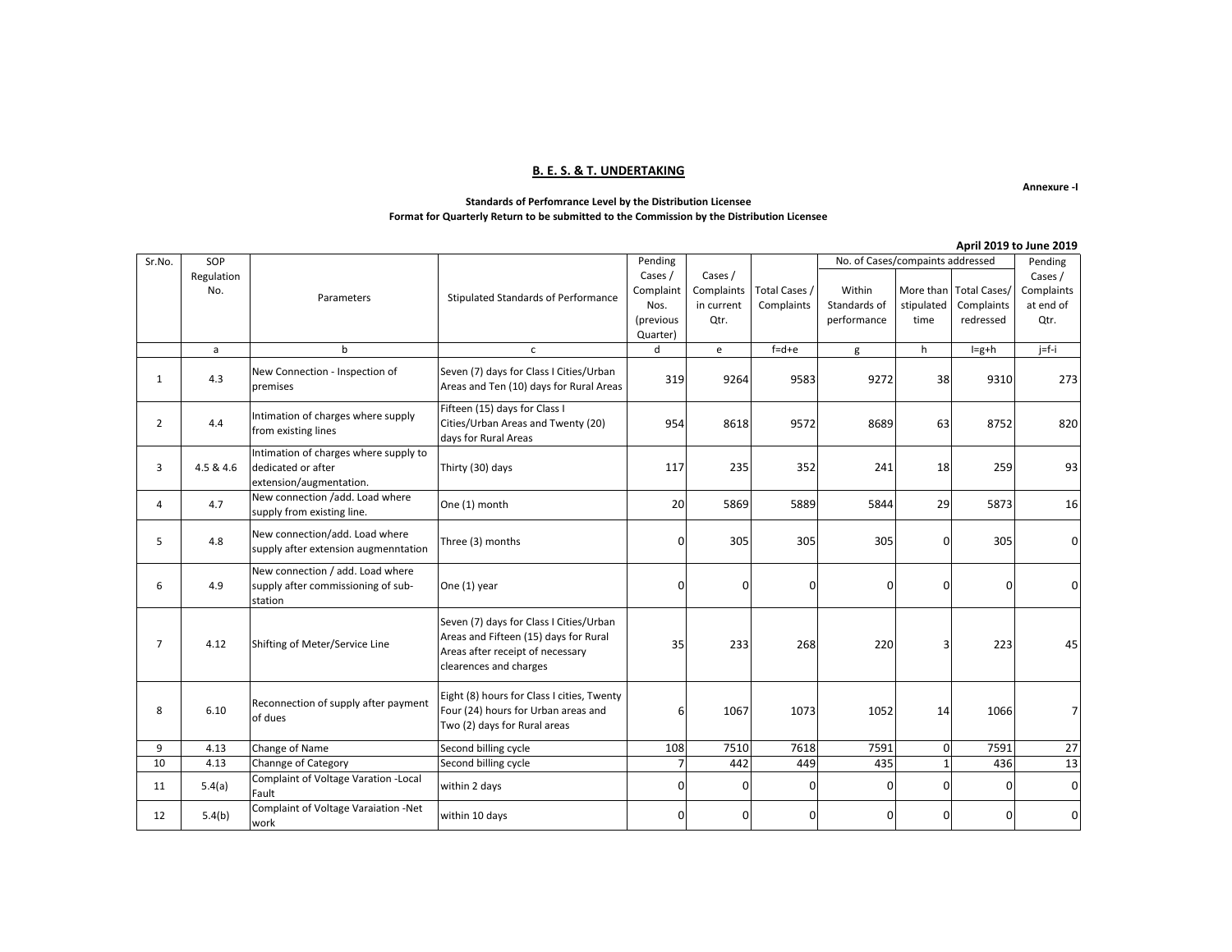### **B. E. S. & T. UNDERTAKING**

**Annexure -I**

#### **Standards of Perfomrance Level by the Distribution Licensee Format for Quarterly Return to be submitted to the Commission by the Distribution Licensee**

|                |            |                                                                                        |                                                                                                                                                |                |            |               |                                  |              |                        | April 2019 to June 2019 |
|----------------|------------|----------------------------------------------------------------------------------------|------------------------------------------------------------------------------------------------------------------------------------------------|----------------|------------|---------------|----------------------------------|--------------|------------------------|-------------------------|
| Sr.No.         | SOP        |                                                                                        |                                                                                                                                                | Pending        |            |               | No. of Cases/compaints addressed |              |                        | Pending                 |
|                | Regulation |                                                                                        |                                                                                                                                                | Cases /        | Cases /    |               |                                  |              |                        | Cases /                 |
|                | No.        | Parameters                                                                             | Stipulated Standards of Performance                                                                                                            | Complaint      | Complaints | Total Cases / | Within                           |              | More than Total Cases/ | Complaints              |
|                |            |                                                                                        |                                                                                                                                                | Nos.           | in current | Complaints    | Standards of                     | stipulated   | Complaints             | at end of               |
|                |            |                                                                                        |                                                                                                                                                | (previous      | Qtr.       |               | performance                      | time         | redressed              | Qtr.                    |
|                |            |                                                                                        |                                                                                                                                                | Quarter)       |            |               |                                  |              |                        |                         |
|                | a          | b                                                                                      | $\mathsf{C}$                                                                                                                                   | d              | e          | $f = d + e$   | g                                | h            | $I=g+h$                | $j = f - i$             |
| 1              | 4.3        | New Connection - Inspection of<br>premises                                             | Seven (7) days for Class I Cities/Urban<br>Areas and Ten (10) days for Rural Areas                                                             | 319            | 9264       | 9583          | 9272                             | 38           | 9310                   | 273                     |
| $\overline{2}$ | 4.4        | Intimation of charges where supply<br>from existing lines                              | Fifteen (15) days for Class I<br>Cities/Urban Areas and Twenty (20)<br>days for Rural Areas                                                    | 954            | 8618       | 9572          | 8689                             | 63           | 8752                   | 820                     |
| 3              | 4.5 & 4.6  | Intimation of charges where supply to<br>dedicated or after<br>extension/augmentation. | Thirty (30) days                                                                                                                               | 117            | 235        | 352           | 241                              | 18           | 259                    | 93                      |
| 4              | 4.7        | New connection /add. Load where<br>supply from existing line.                          | One (1) month                                                                                                                                  | 20             | 5869       | 5889          | 5844                             | 29           | 5873                   | 16                      |
| 5              | 4.8        | New connection/add. Load where<br>supply after extension augmenntation                 | Three (3) months                                                                                                                               | $\Omega$       | 305        | 305           | 305                              | $\Omega$     | 305                    | U                       |
| 6              | 4.9        | New connection / add. Load where<br>supply after commissioning of sub-<br>station      | One (1) year                                                                                                                                   | $\Omega$       | 0          | $\mathbf 0$   | $\mathbf{0}$                     | $\Omega$     | 0                      |                         |
| $\overline{7}$ | 4.12       | Shifting of Meter/Service Line                                                         | Seven (7) days for Class I Cities/Urban<br>Areas and Fifteen (15) days for Rural<br>Areas after receipt of necessary<br>clearences and charges | 35             | 233        | 268           | 220                              | З            | 223                    | 45                      |
| 8              | 6.10       | Reconnection of supply after payment<br>of dues                                        | Eight (8) hours for Class I cities, Twenty<br>Four (24) hours for Urban areas and<br>Two (2) days for Rural areas                              | 6              | 1067       | 1073          | 1052                             | 14           | 1066                   |                         |
| 9              | 4.13       | Change of Name                                                                         | Second billing cycle                                                                                                                           | 108            | 7510       | 7618          | 7591                             | $\Omega$     | 7591                   | 27                      |
| 10             | 4.13       | Channge of Category                                                                    | Second billing cycle                                                                                                                           | $\overline{7}$ | 442        | 449           | 435                              | $\mathbf{1}$ | 436                    | 13                      |
| 11             | 5.4(a)     | Complaint of Voltage Varation - Local<br>Fault                                         | within 2 days                                                                                                                                  | $\Omega$       | 0          | $\Omega$      | $\overline{0}$                   | $\Omega$     | 0                      | U                       |
| 12             | 5.4(b)     | Complaint of Voltage Varaiation -Net<br>work                                           | within 10 days                                                                                                                                 | $\Omega$       | 0          | $\Omega$      | $\overline{0}$                   | $\Omega$     | 0                      | O                       |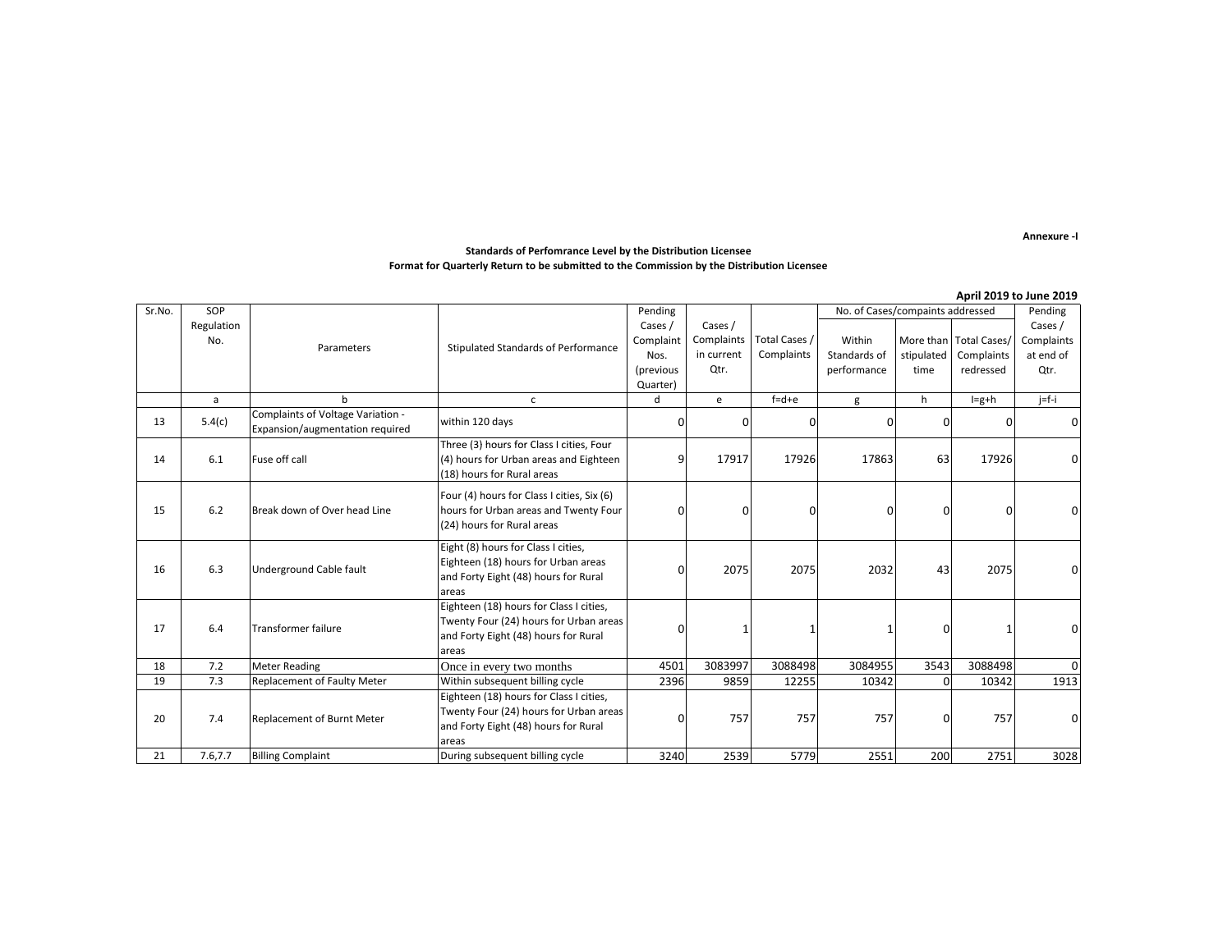**Annexure -I**

#### **Standards of Perfomrance Level by the Distribution Licensee Format for Quarterly Return to be submitted to the Commission by the Distribution Licensee**

|        |            |                                                                      |                                                  |                                             |               |             |              |                        |             | April 2019 to June 2019 |
|--------|------------|----------------------------------------------------------------------|--------------------------------------------------|---------------------------------------------|---------------|-------------|--------------|------------------------|-------------|-------------------------|
| Sr.No. | SOP        |                                                                      |                                                  | No. of Cases/compaints addressed<br>Pending |               |             |              |                        |             | Pending                 |
|        | Regulation |                                                                      |                                                  | Cases /                                     | Cases /       |             |              |                        |             | Cases /                 |
| No.    | Parameters | Stipulated Standards of Performance                                  | Complaint                                        | Complaints                                  | Total Cases / | Within      |              | More than Total Cases/ | Complaints  |                         |
|        |            |                                                                      |                                                  | Nos.                                        | in current    | Complaints  | Standards of | stipulated             | Complaints  | at end of               |
|        |            |                                                                      |                                                  | (previous                                   | Qtr.          |             | performance  | time                   | redressed   | Qtr.                    |
|        |            |                                                                      |                                                  | Quarter)                                    |               |             |              |                        |             |                         |
|        | a          | h                                                                    | $\mathsf{C}$                                     | $\mathbf d$                                 | e             | $f = d + e$ | g            | h                      | $I = g + h$ | $i = f - i$             |
| 13     | 5.4(c)     | Complaints of Voltage Variation -<br>Expansion/augmentation required | within 120 days                                  | 0                                           | 0             |             |              | n                      | ŋ           |                         |
|        |            |                                                                      | Three (3) hours for Class I cities, Four         |                                             |               |             |              |                        |             |                         |
| 14     | 6.1        | Fuse off call                                                        | (4) hours for Urban areas and Eighteen           | q                                           | 17917         | 17926       | 17863        | 63                     | 17926       |                         |
|        |            |                                                                      | (18) hours for Rural areas                       |                                             |               |             |              |                        |             |                         |
|        |            |                                                                      | Four (4) hours for Class I cities, Six (6)       |                                             |               |             |              |                        |             |                         |
| 15     | 6.2        | Break down of Over head Line                                         | hours for Urban areas and Twenty Four            | O                                           | 0             | $\Omega$    | n            |                        | 0           |                         |
|        |            |                                                                      | (24) hours for Rural areas                       |                                             |               |             |              |                        |             |                         |
|        |            |                                                                      |                                                  |                                             |               |             |              |                        |             |                         |
|        |            |                                                                      | Eight (8) hours for Class I cities,              |                                             |               |             |              |                        |             |                         |
| 16     | 6.3        | Underground Cable fault                                              | Eighteen (18) hours for Urban areas              | O                                           | 2075          | 2075        | 2032         | 43                     | 2075        |                         |
|        |            |                                                                      | and Forty Eight (48) hours for Rural             |                                             |               |             |              |                        |             |                         |
|        |            |                                                                      | areas<br>Eighteen (18) hours for Class I cities, |                                             |               |             |              |                        |             |                         |
|        |            |                                                                      | Twenty Four (24) hours for Urban areas           |                                             |               |             |              |                        |             |                         |
| 17     | 6.4        | <b>Transformer failure</b>                                           | and Forty Eight (48) hours for Rural             | $\Omega$                                    |               |             |              |                        |             |                         |
|        |            |                                                                      | areas                                            |                                             |               |             |              |                        |             |                         |
| 18     | 7.2        | <b>Meter Reading</b>                                                 | Once in every two months                         | 4501                                        | 3083997       | 3088498     | 3084955      | 3543                   | 3088498     |                         |
| 19     | 7.3        | Replacement of Faulty Meter                                          | Within subsequent billing cycle                  | 2396                                        | 9859          | 12255       | 10342        | $\Omega$               | 10342       | 1913                    |
|        |            |                                                                      | Eighteen (18) hours for Class I cities,          |                                             |               |             |              |                        |             |                         |
|        |            |                                                                      | Twenty Four (24) hours for Urban areas           |                                             |               |             |              |                        |             |                         |
| 20     | 7.4        | Replacement of Burnt Meter                                           | and Forty Eight (48) hours for Rural             | $\Omega$                                    | 757           | 757         | 757          |                        | 757         |                         |
|        |            |                                                                      | areas                                            |                                             |               |             |              |                        |             |                         |
| 21     | 7.6,7.7    | <b>Billing Complaint</b>                                             | During subsequent billing cycle                  | 3240                                        | 2539          | 5779        | 2551         | 200                    | 2751        | 3028                    |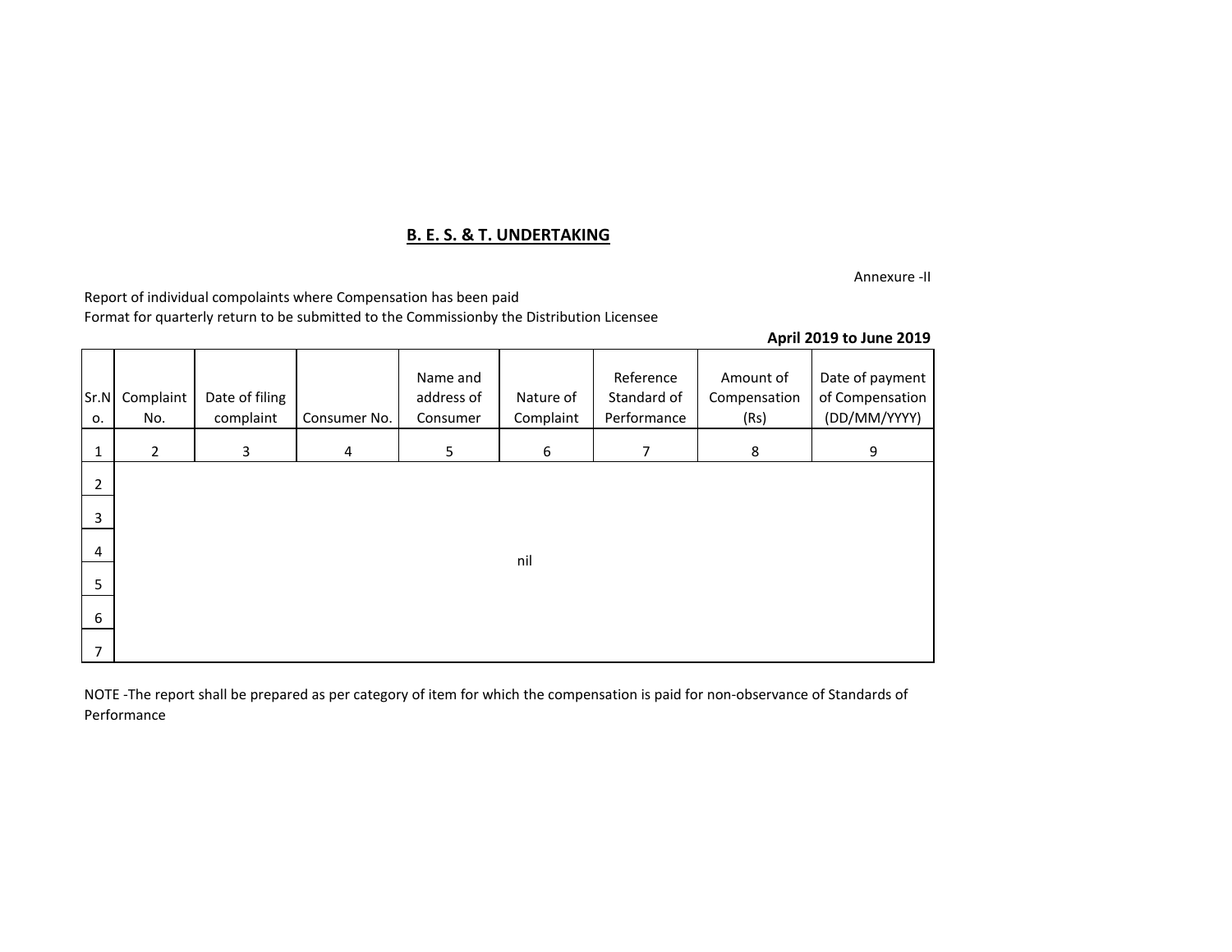## **B. E. S. & T. UNDERTAKING**

Annexure -II

Report of individual compolaints where Compensation has been paid

Format for quarterly return to be submitted to the Commissionby the Distribution Licensee

### **April 2019 to June 2019**

| Sr.N<br>о.   | Complaint<br>No. | Date of filing<br>complaint | Consumer No.   | Name and<br>address of<br>Consumer | Nature of<br>Complaint | Reference<br>Standard of<br>Performance | Amount of<br>Compensation<br>(Rs) | Date of payment<br>of Compensation<br>(DD/MM/YYYY) |
|--------------|------------------|-----------------------------|----------------|------------------------------------|------------------------|-----------------------------------------|-----------------------------------|----------------------------------------------------|
| $\mathbf{1}$ | $\overline{2}$   | 3                           | $\overline{4}$ | 5                                  | 6                      | $\overline{7}$                          | 8                                 | 9                                                  |
| 2            |                  |                             |                |                                    |                        |                                         |                                   |                                                    |
| 3            |                  |                             |                |                                    |                        |                                         |                                   |                                                    |
| 4            |                  |                             |                |                                    | nil                    |                                         |                                   |                                                    |
| 5            |                  |                             |                |                                    |                        |                                         |                                   |                                                    |
| 6            |                  |                             |                |                                    |                        |                                         |                                   |                                                    |
| 7            |                  |                             |                |                                    |                        |                                         |                                   |                                                    |

NOTE -The report shall be prepared as per category of item for which the compensation is paid for non-observance of Standards of Performance